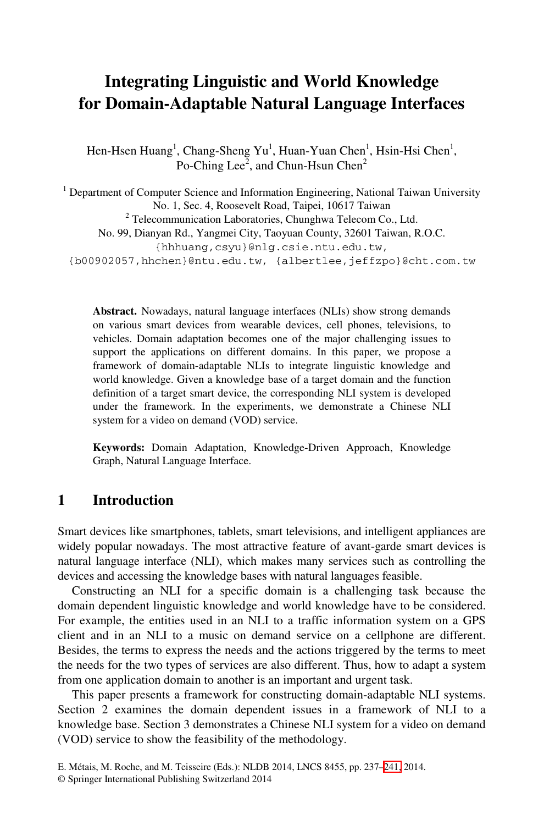# **Integrating Linguistic and World Knowledge for Domain-Adaptable Natural Language Interfaces**

Hen-Hsen Huang<sup>1</sup>, Chang-Sheng Yu<sup>1</sup>, Huan-Yuan Chen<sup>1</sup>, Hsin-Hsi Chen<sup>1</sup>, Po-Ching Lee<sup>2</sup>, and Chun-Hsun Chen<sup>2</sup>

<sup>1</sup> Department of Computer Science and Information Engineering, National Taiwan University No. 1, Sec. 4, Roosevelt Road, Taipei, 10617 Taiwan<br><sup>2</sup> Telecommunication Laboratories, Chunghwa Telecom Co., Ltd.

No. 99, Dianyan Rd., Yangmei City, Taoyuan County, 32601 Taiwan, R.O.C. {hhhuang,csyu}@nlg.csie.ntu.edu.tw,

{b00902057,hhchen}@ntu.edu.tw, {albertlee,jeffzpo}@cht.com.tw

**Abstract.** Nowadays, natural language interfaces (NLIs) show strong demands on various smart devices from wearable devices, cell phones, televisions, to vehicles. Domain adaptation becomes one of the major challenging issues to support the applications on different domains. In this paper, we propose a framework of domain-adaptable NLIs to integrate linguistic knowledge and world knowledge. Given a knowledge base of a target domain and the function definition of a target smart device, the corresponding NLI system is developed under the framework. In the experiments, we demonstrate a Chinese NLI system for a video on demand (VOD) service.

**Keywords:** Domain Adaptation, Knowledge-Driven Approach, Knowledge Graph, Natural Language Interface.

#### **1 Introduction**

Smart devices like smartphones, tablets, smart televisions, and intelligent appliances are widely popular nowadays. The most attractive feature of avant-garde smart devices is natural language interface (NLI), which makes many services such as controlling the devices and accessing the knowledge bases with natural languages feasible.

Constructing an NLI for a specific domain is a challenging task because the domain dependent linguistic knowledge and world knowledge have to be considered. For example, the entities used in an NLI to a traffic information system on a GPS client and in an NLI to a music on demand service on a cellphone are different. Besides, the terms to express the needs and t[he ac](#page-4-0)tions triggered by the terms to meet the needs for the two types of services are also different. Thus, how to adapt a system from one application domain to another is an important and urgent task.

This paper presents a framework for constructing domain-adaptable NLI systems. Section 2 examines the domain dependent issues in a framework of NLI to a knowledge base. Section 3 demonstrates a Chinese NLI system for a video on demand (VOD) service to show the feasibility of the methodology.

E. Métais, M. Roche, and M. Teisseire (Eds.): NLDB 2014, LNCS 8455, pp. 237–241, 2014.

<sup>©</sup> Springer International Publishing Switzerland 2014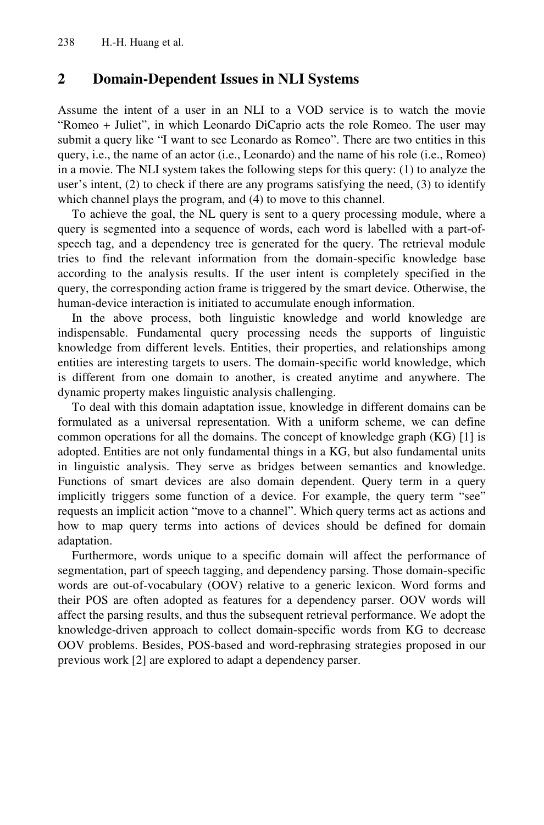### **2 Domain-Dependent Issues in NLI Systems**

Assume the intent of a user in an NLI to a VOD service is to watch the movie "Romeo + Juliet", in which Leonardo DiCaprio acts the role Romeo. The user may submit a query like "I want to see Leonardo as Romeo". There are two entities in this query, i.e., the name of an actor (i.e., Leonardo) and the name of his role (i.e., Romeo) in a movie. The NLI system takes the following steps for this query: (1) to analyze the user's intent, (2) to check if there are any programs satisfying the need, (3) to identify which channel plays the program, and (4) to move to this channel.

To achieve the goal, the NL query is sent to a query processing module, where a query is segmented into a sequence of words, each word is labelled with a part-ofspeech tag, and a dependency tree is generated for the query. The retrieval module tries to find the relevant information from the domain-specific knowledge base according to the analysis results. If the user intent is completely specified in the query, the corresponding action frame is triggered by the smart device. Otherwise, the human-device interaction is initiated to accumulate enough information.

In the above process, both linguistic knowledge and world knowledge are indispensable. Fundamental query processing needs the supports of linguistic knowledge from different levels. Entities, their properties, and relationships among entities are interesting targets to users. The domain-specific world knowledge, which is different from one domain to another, is created anytime and anywhere. The dynamic property makes linguistic analysis challenging.

To deal with this domain adaptation issue, knowledge in different domains can be formulated as a universal representation. With a uniform scheme, we can define common operations for all the domains. The concept of knowledge graph (KG) [1] is adopted. Entities are not only fundamental things in a KG, but also fundamental units in linguistic analysis. They serve as bridges between semantics and knowledge. Functions of smart devices are also domain dependent. Query term in a query implicitly triggers some function of a device. For example, the query term "see" requests an implicit action "move to a channel". Which query terms act as actions and how to map query terms into actions of devices should be defined for domain adaptation.

Furthermore, words unique to a specific domain will affect the performance of segmentation, part of speech tagging, and dependency parsing. Those domain-specific words are out-of-vocabulary (OOV) relative to a generic lexicon. Word forms and their POS are often adopted as features for a dependency parser. OOV words will affect the parsing results, and thus the subsequent retrieval performance. We adopt the knowledge-driven approach to collect domain-specific words from KG to decrease OOV problems. Besides, POS-based and word-rephrasing strategies proposed in our previous work [2] are explored to adapt a dependency parser.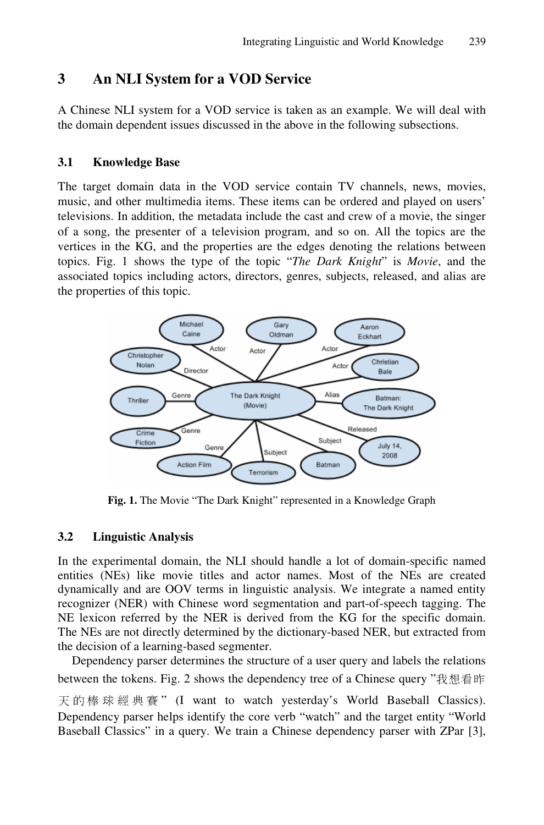### **3 An NLI System for a VOD Service**

A Chinese NLI system for a VOD service is taken as an example. We will deal with the domain dependent issues discussed in the above in the following subsections.

#### **3.1 Knowledge Base**

The target domain data in the VOD service contain TV channels, news, movies, music, and other multimedia items. These items can be ordered and played on users' televisions. In addition, the metadata include the cast and crew of a movie, the singer of a song, the presenter of a television program, and so on. All the topics are the vertices in the KG, and the properties are the edges denoting the relations between topics. Fig. 1 shows the type of the topic "*The Dark Knight*" is *Movie*, and the associated topics including actors, directors, genres, subjects, released, and alias are the properties of this topic.



**Fig. 1.** The Movie "The Dark Knight" represented in a Knowledge Graph

#### **3.2 Linguistic Analysis**

In the experimental domain, the NLI should handle a lot of domain-specific named entities (NEs) like movie titles and actor names. Most of the NEs are created dynamically and are OOV terms in linguistic analysis. We integrate a named entity recognizer (NER) with Chinese word segmentation and part-of-speech tagging. The NE lexicon referred by the NER is derived from the KG for the specific domain. The NEs are not directly determined by the dictionary-based NER, but extracted from the decision of a learning-based segmenter.

Dependency parser determines the structure of a user query and labels the relations between the tokens. Fig. 2 shows the dependency tree of a Chinese query "我想看昨

天的棒球經典賽 " (I want to watch yesterday's World Baseball Classics). Dependency parser helps identify the core verb "watch" and the target entity "World Baseball Classics" in a query. We train a Chinese dependency parser with ZPar [3],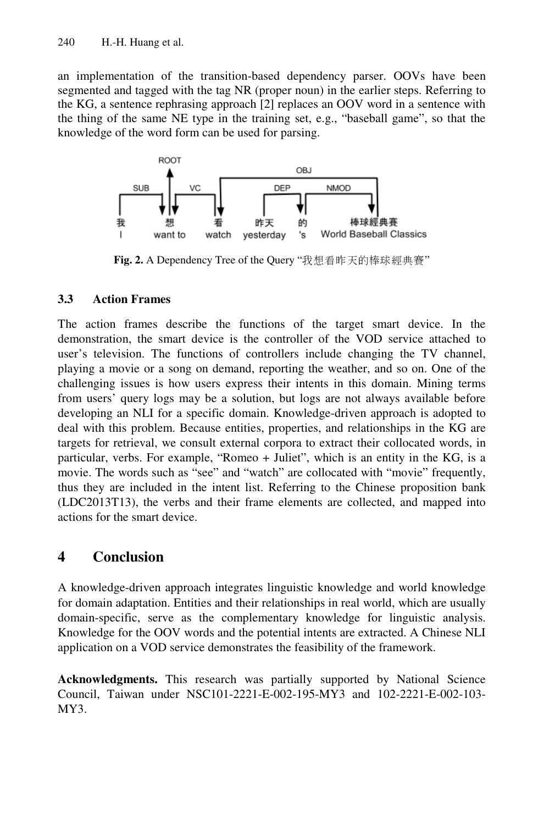an implementation of the transition-based dependency parser. OOVs have been segmented and tagged with the tag NR (proper noun) in the earlier steps. Referring to the KG, a sentence rephrasing approach [2] replaces an OOV word in a sentence with the thing of the same NE type in the training set, e.g., "baseball game", so that the knowledge of the word form can be used for parsing.



**Fig. 2.** A Dependency Tree of the Query "我想看昨天的棒球經典賽"

#### **3.3 Action Frames**

The action frames describe the functions of the target smart device. In the demonstration, the smart device is the controller of the VOD service attached to user's television. The functions of controllers include changing the TV channel, playing a movie or a song on demand, reporting the weather, and so on. One of the challenging issues is how users express their intents in this domain. Mining terms from users' query logs may be a solution, but logs are not always available before developing an NLI for a specific domain. Knowledge-driven approach is adopted to deal with this problem. Because entities, properties, and relationships in the KG are targets for retrieval, we consult external corpora to extract their collocated words, in particular, verbs. For example, "Romeo + Juliet", which is an entity in the KG, is a movie. The words such as "see" and "watch" are collocated with "movie" frequently, thus they are included in the intent list. Referring to the Chinese proposition bank (LDC2013T13), the verbs and their frame elements are collected, and mapped into actions for the smart device.

## **4 Conclusion**

A knowledge-driven approach integrates linguistic knowledge and world knowledge for domain adaptation. Entities and their relationships in real world, which are usually domain-specific, serve as the complementary knowledge for linguistic analysis. Knowledge for the OOV words and the potential intents are extracted. A Chinese NLI application on a VOD service demonstrates the feasibility of the framework.

**Acknowledgments.** This research was partially supported by National Science Council, Taiwan under NSC101-2221-E-002-195-MY3 and 102-2221-E-002-103- MY3.